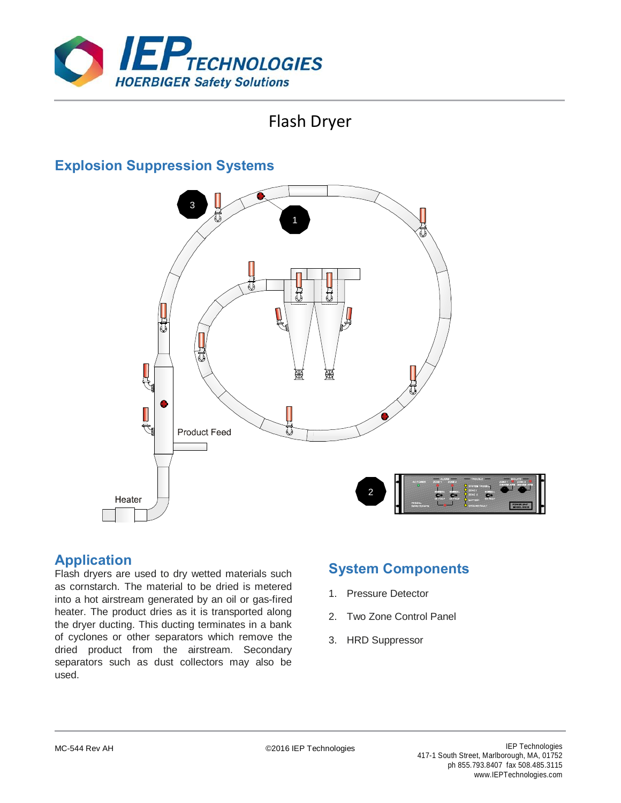

# Flash Dryer

## **Explosion Suppression Systems**



## **Application**

Flash dryers are used to dry wetted materials such as cornstarch. The material to be dried is metered into a hot airstream generated by an oil or gas-fired heater. The product dries as it is transported along the dryer ducting. This ducting terminates in a bank of cyclones or other separators which remove the dried product from the airstream. Secondary separators such as dust collectors may also be used.

## **System Components**

- 1. Pressure Detector
- 2. Two Zone Control Panel
- 3. HRD Suppressor